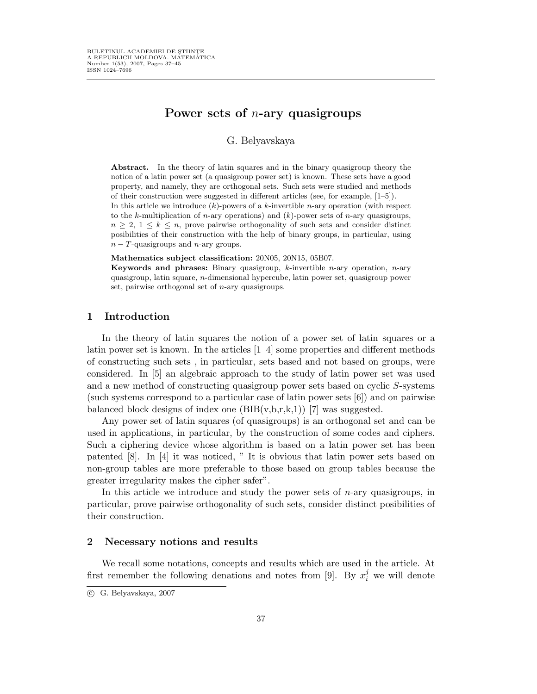# Power sets of  $n$ -ary quasigroups

G. Belyavskaya

Abstract. In the theory of latin squares and in the binary quasigroup theory the notion of a latin power set (a quasigroup power set) is known. These sets have a good property, and namely, they are orthogonal sets. Such sets were studied and methods of their construction were suggested in different articles (see, for example, [1–5]).

In this article we introduce  $(k)$ -powers of a k-invertible *n*-ary operation (with respect to the k-multiplication of *n*-ary operations) and  $(k)$ -power sets of *n*-ary quasigroups,  $n \geq 2, 1 \leq k \leq n$ , prove pairwise orthogonality of such sets and consider distinct posibilities of their construction with the help of binary groups, in particular, using  $n - T$ -quasigroups and n-ary groups.

Mathematics subject classification: 20N05, 20N15, 05B07.

Keywords and phrases: Binary quasigroup,  $k$ -invertible *n*-ary operation, *n*-ary quasigroup, latin square, n-dimensional hypercube, latin power set, quasigroup power set, pairwise orthogonal set of n-ary quasigroups.

### 1 Introduction

In the theory of latin squares the notion of a power set of latin squares or a latin power set is known. In the articles [1–4] some properties and different methods of constructing such sets , in particular, sets based and not based on groups, were considered. In [5] an algebraic approach to the study of latin power set was used and a new method of constructing quasigroup power sets based on cyclic S-systems (such systems correspond to a particular case of latin power sets [6]) and on pairwise balanced block designs of index one  $(BIB(v,b,r,k,1))$  [7] was suggested.

Any power set of latin squares (of quasigroups) is an orthogonal set and can be used in applications, in particular, by the construction of some codes and ciphers. Such a ciphering device whose algorithm is based on a latin power set has been patented [8]. In [4] it was noticed, " It is obvious that latin power sets based on non-group tables are more preferable to those based on group tables because the greater irregularity makes the cipher safer".

In this article we introduce and study the power sets of  $n$ -ary quasigroups, in particular, prove pairwise orthogonality of such sets, consider distinct posibilities of their construction.

#### 2 Necessary notions and results

We recall some notations, concepts and results which are used in the article. At first remember the following denations and notes from [9]. By  $x_i^j$  we will denote

c G. Belyavskaya, 2007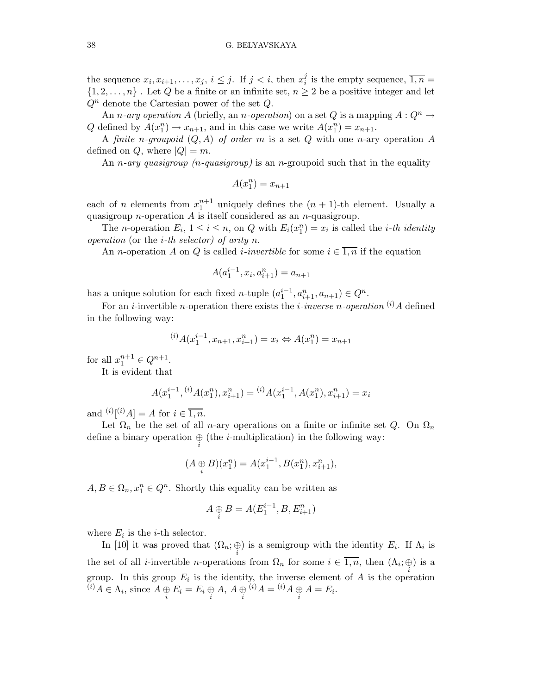the sequence  $x_i, x_{i+1}, \ldots, x_j, i \leq j$ . If  $j < i$ , then  $x_i^j$  $i$  is the empty sequence,  $\overline{1,n} =$  $\{1, 2, \ldots, n\}$ . Let Q be a finite or an infinite set,  $n \geq 2$  be a positive integer and let  $Q^n$  denote the Cartesian power of the set  $Q$ .

An n-ary operation A (briefly, an n-operation) on a set Q is a mapping  $A: Q^n \to$ Q defined by  $A(x_1^n) \to x_{n+1}$ , and in this case we write  $A(x_1^n) = x_{n+1}$ .

A finite n-groupoid  $(Q, A)$  of order m is a set Q with one n-ary operation A defined on Q, where  $|Q| = m$ .

An *n*-ary quasigroup (*n*-quasigroup) is an *n*-groupoid such that in the equality

$$
A(x_1^n) = x_{n+1}
$$

each of *n* elements from  $x_1^{n+1}$  uniquely defines the  $(n + 1)$ -th element. Usually a quasigroup *n*-operation  $A$  is itself considered as an *n*-quasigroup.

The *n*-operation  $E_i$ ,  $1 \leq i \leq n$ , on Q with  $E_i(x_1^n) = x_i$  is called the *i*-th *identity* operation (or the *i*-th selector) of arity n.

An *n*-operation A on Q is called *i*-invertible for some  $i \in \overline{1,n}$  if the equation

$$
A(a_1^{i-1}, x_i, a_{i+1}^n) = a_{n+1}
$$

has a unique solution for each fixed *n*-tuple  $(a_1^{i-1}, a_{i+1}^n, a_{n+1}) \in Q^n$ .

For an *i*-invertible *n*-operation there exists the *i*-inverse *n*-operation  $^{(i)}A$  defined in the following way:

$$
^{(i)}A(x_1^{i-1},x_{n+1},x_{i+1}^n)=x_i \Leftrightarrow A(x_1^n)=x_{n+1}
$$

for all  $x_1^{n+1} \in Q^{n+1}$ .

It is evident that

$$
A(x_1^{i-1}, {^{(i)}}A(x_1^n), x_{i+1}^n) = {^{(i)}}A(x_1^{i-1}, A(x_1^n), x_{i+1}^n) = x_i
$$

and  $(i)[i]A] = A$  for  $i \in \overline{1,n}$ .

Let  $\Omega_n$  be the set of all n-ary operations on a finite or infinite set Q. On  $\Omega_n$ define a binary operation  $\bigoplus_i$  (the *i*-multiplication) in the following way:

$$
(A \oplus B)(x_1^n) = A(x_1^{i-1}, B(x_1^n), x_{i+1}^n),
$$

 $A, B \in \Omega_n, x_1^n \in Q^n$ . Shortly this equality can be written as

$$
A \oplus B = A(E_1^{i-1}, B, E_{i+1}^n)
$$

where  $E_i$  is the *i*-th selector.

In [10] it was proved that  $(\Omega_n; \bigoplus_i)$  is a semigroup with the identity  $E_i$ . If  $\Lambda_i$  is the set of all *i*-invertible *n*-operations from  $\Omega_n$  for some  $i \in \overline{1,n}$ , then  $(\Lambda_i; \bigoplus_i)$  is a group. In this group  $E_i$  is the identity, the inverse element of A is the operation  $(i) A \in \Lambda_i$ , since  $A \oplus \overline{E_i} = E_i \oplus A$ ,  $A \oplus \overline{i} \choose i A = \overline{i} A \oplus A = E_i$ .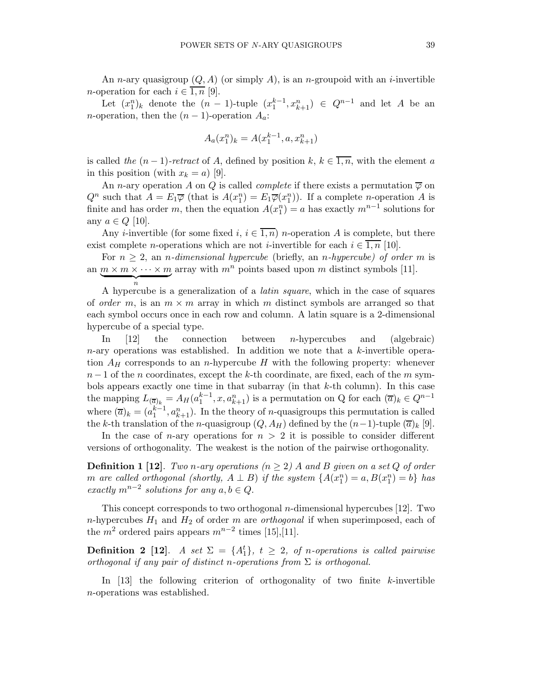An *n*-ary quasigroup  $(Q, A)$  (or simply A), is an *n*-groupoid with an *i*-invertible *n*-operation for each  $i \in \overline{1,n}$  [9].

Let  $(x_1^n)_k$  denote the  $(n-1)$ -tuple  $(x_1^{k-1}, x_{k+1}^n) \in Q^{n-1}$  and let A be an n-operation, then the  $(n-1)$ -operation  $A_a$ :

$$
A_a(x_1^n)_k = A(x_1^{k-1}, a, x_{k+1}^n)
$$

is called the  $(n-1)$ -retract of A, defined by position k,  $k \in \overline{1,n}$ , with the element a in this position (with  $x_k = a$ ) [9].

An n-ary operation A on Q is called *complete* if there exists a permutation  $\overline{\varphi}$  on  $Q^n$  such that  $A = E_1 \overline{\varphi}$  (that is  $A(x_1^n) = E_1 \overline{\varphi}(x_1^n)$ ). If a complete *n*-operation A is finite and has order m, then the equation  $A(x_1^n) = a$  has exactly  $m^{n-1}$  solutions for any  $a \in Q$  [10].

Any *i*-invertible (for some fixed i,  $i \in \overline{1,n}$ ) n-operation A is complete, but there exist complete *n*-operations which are not *i*-invertible for each  $i \in \overline{1,n}$  [10].

For  $n \geq 2$ , an *n*-dimensional hypercube (briefly, an *n*-hypercube) of order m is an  $\underline{m \times m \times \cdots \times m}$  array with  $m^n$  points based upon m distinct symbols [11].

n A hypercube is a generalization of a latin square, which in the case of squares of order m, is an  $m \times m$  array in which m distinct symbols are arranged so that each symbol occurs once in each row and column. A latin square is a 2-dimensional hypercube of a special type.

In [12] the connection between n-hypercubes and (algebraic)  $n$ -ary operations was established. In addition we note that a k-invertible operation  $A_H$  corresponds to an *n*-hypercube H with the following property: whenever  $n-1$  of the n coordinates, except the k-th coordinate, are fixed, each of the m symbols appears exactly one time in that subarray (in that k-th column). In this case the mapping  $L_{(\overline{a})_k} = A_H(a_1^{k-1}, x, a_{k+1}^n)$  is a permutation on Q for each  $(\overline{a})_k \in Q^{n-1}$ where  $(\overline{a})_k = (a_1^{k-1}, a_{k+1}^n)$ . In the theory of *n*-quasigroups this permutation is called the k-th translation of the n-quasigroup  $(Q, A_H)$  defined by the  $(n-1)$ -tuple  $(\overline{a})_k$  [9].

In the case of *n*-ary operations for  $n > 2$  it is possible to consider different versions of orthogonality. The weakest is the notion of the pairwise orthogonality.

**Definition 1 [12].** Two n-ary operations ( $n \geq 2$ ) A and B given on a set Q of order m are called orthogonal (shortly,  $A \perp B$ ) if the system  $\{A(x_1^n) = a, B(x_1^n) = b\}$  has exactly  $m^{n-2}$  solutions for any  $a, b \in Q$ .

This concept corresponds to two orthogonal *n*-dimensional hypercubes  $[12]$ . Two n-hypercubes  $H_1$  and  $H_2$  of order m are *orthogonal* if when superimposed, each of the  $m^2$  ordered pairs appears  $m^{n-2}$  times [15],[11].

**Definition 2** [12]. A set  $\Sigma = \{A_1^t\}$ ,  $t \geq 2$ , of n-operations is called pairwise orthogonal if any pair of distinct n-operations from  $\Sigma$  is orthogonal.

In  $[13]$  the following criterion of orthogonality of two finite k-invertible n-operations was established.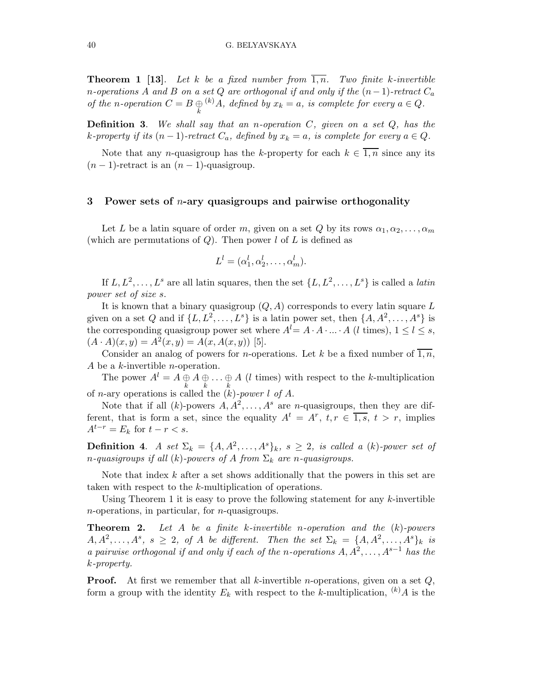**Theorem 1 [13].** Let k be a fixed number from  $\overline{1,n}$ . Two finite k-invertible n-operations A and B on a set Q are orthogonal if and only if the  $(n-1)$ -retract  $C_a$ of the n-operation  $C = B \bigoplus_k (k) A$ , defined by  $x_k = a$ , is complete for every  $a \in Q$ .

**Definition 3.** We shall say that an n-operation  $C$ , given on a set  $Q$ , has the k-property if its  $(n-1)$ -retract  $C_a$ , defined by  $x_k = a$ , is complete for every  $a \in Q$ .

Note that any *n*-quasigroup has the k-property for each  $k \in \overline{1,n}$  since any its  $(n-1)$ -retract is an  $(n-1)$ -quasigroup.

## 3 Power sets of  $n$ -ary quasigroups and pairwise orthogonality

Let L be a latin square of order m, given on a set Q by its rows  $\alpha_1, \alpha_2, \ldots, \alpha_m$ (which are permutations of  $Q$ ). Then power l of L is defined as

$$
L^l = (\alpha_1^l, \alpha_2^l, \dots, \alpha_m^l).
$$

If  $L, L^2, \ldots, L^s$  are all latin squares, then the set  $\{L, L^2, \ldots, L^s\}$  is called a *latin* power set of size s.

It is known that a binary quasigroup  $(Q, A)$  corresponds to every latin square L given on a set Q and if  $\{L, L^2, \ldots, L^s\}$  is a latin power set, then  $\{A, A^2, \ldots, A^s\}$  is the corresponding quasigroup power set where  $A^{l}= A \cdot A \cdot ... \cdot A$  (*l* times),  $1 \leq l \leq s$ ,  $(A \cdot A)(x, y) = A^2(x, y) = A(x, A(x, y))$  [5].

Consider an analog of powers for *n*-operations. Let k be a fixed number of  $\overline{1,n}$ , A be a k-invertible n-operation.

The power  $A^l = A \bigoplus_k A \bigoplus_k \ldots \bigoplus_k A$  (*l* times) with respect to the *k*-multiplication of *n*-ary operations is called the  $(k)$ -power l of A.

Note that if all  $(k)$ -powers  $A, A^2, \ldots, A^s$  are *n*-quasigroups, then they are different, that is form a set, since the equality  $A^t = A^r$ ,  $t, r \in \overline{1, s}, t > r$ , implies  $A^{t-r} = E_k$  for  $t - r < s$ .

**Definition 4.** A set  $\Sigma_k = \{A, A^2, \ldots, A^s\}_k$ ,  $s \geq 2$ , is called a (k)-power set of n-quasigroups if all  $(k)$ -powers of A from  $\Sigma_k$  are n-quasigroups.

Note that index  $k$  after a set shows additionally that the powers in this set are taken with respect to the k-multiplication of operations.

Using Theorem 1 it is easy to prove the following statement for any  $k$ -invertible n-operations, in particular, for n-quasigroups.

**Theorem 2.** Let A be a finite k-invertible n-operation and the  $(k)$ -powers  $A, A^2, \ldots, A^s, s \geq 2$ , of A be different. Then the set  $\Sigma_k = \{A, A^2, \ldots, A^s\}_k$  is a pairwise orthogonal if and only if each of the n-operations  $A, A^2, \ldots, A^{s-1}$  has the k-property.

**Proof.** At first we remember that all k-invertible *n*-operations, given on a set  $Q$ , form a group with the identity  $E_k$  with respect to the k-multiplication,  $(k)A$  is the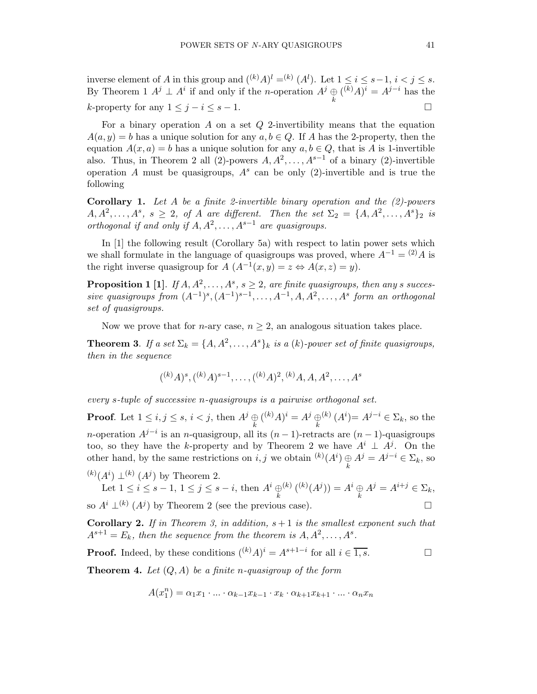inverse element of A in this group and  $({}^{(k)}A)^{l} = ^{(k)} (A^{l})$ . Let  $1 \leq i \leq s-1$ ,  $i < j \leq s$ . By Theorem 1  $A^j \perp A^i$  if and only if the *n*-operation  $A^j \oplus_k {(\overline{k})} A^j = A^{j-i}$  has the k-property for any  $1 \leq j - i \leq s - 1$ .

For a binary operation  $A$  on a set  $Q$  2-invertibility means that the equation  $A(a, y) = b$  has a unique solution for any  $a, b \in Q$ . If A has the 2-property, then the equation  $A(x, a) = b$  has a unique solution for any  $a, b \in Q$ , that is A is 1-invertible also. Thus, in Theorem 2 all (2)-powers  $A, A^2, \ldots, A^{s-1}$  of a binary (2)-invertible operation A must be quasigroups,  $A^s$  can be only (2)-invertible and is true the following

**Corollary 1.** Let A be a finite 2-invertible binary operation and the  $(2)$ -powers  $A, A^2, \ldots, A^s, s \geq 2$ , of A are different. Then the set  $\Sigma_2 = \{A, A^2, \ldots, A^s\}_2$  is orthogonal if and only if  $A, A^2, \ldots, A^{s-1}$  are quasigroups.

In [1] the following result (Corollary 5a) with respect to latin power sets which we shall formulate in the language of quasigroups was proved, where  $A^{-1} = {}^{(2)}A$  is the right inverse quasigroup for  $\overline{A}$   $(A^{-1}(x,y) = z \Leftrightarrow A(x,z) = y)$ .

**Proposition 1** [1]. If  $A, A^2, \ldots, A^s, s \geq 2$ , are finite quasigroups, then any s successive quasigroups from  $(A^{-1})^s$ ,  $(A^{-1})^{s-1}$ , ...,  $A^{-1}$ ,  $A, A^2$ , ...,  $A^s$  form an orthogonal set of quasigroups.

Now we prove that for *n*-ary case,  $n \geq 2$ , an analogous situation takes place.

**Theorem 3.** If a set  $\Sigma_k = \{A, A^2, \ldots, A^s\}_k$  is a (k)-power set of finite quasigroups, then in the sequence

$$
(^{(k)}A)^{s},(^{(k)}A)^{s-1},\ldots,(^{(k)}A)^{2},(^{(k)}A,A,A^{2},\ldots,A^{s})
$$

every s-tuple of successive n-quasigroups is a pairwise orthogonal set.

**Proof.** Let  $1 \leq i, j \leq s, i < j$ , then  $A^j \oplus_k (k^i) A^i = A^j \oplus_k$ <sup>(k)</sup>  $(A^i) = A^{j-i} \in \Sigma_k$ , so the *n*-operation  $A^{j-i}$  is an *n*-quasigroup, all its  $(n-1)$ -retracts are  $(n-1)$ -quasigroups too, so they have the k-property and by Theorem 2 we have  $A^i \perp A^j$ . On the other hand, by the same restrictions on  $i, j$  we obtain  $(k)$  $(A^i) \bigoplus_k A^j = A^{j-i} \in \Sigma_k$ , so

 $(k)(A^i) \perp (k) (A^j)$  by Theorem 2.

Let 
$$
1 \leq i \leq s-1
$$
,  $1 \leq j \leq s-i$ , then  $A^i \bigoplus_k (k) (k) (A^j) = A^i \bigoplus_k A^j = A^{i+j} \in \Sigma_k$ ,

so  $A^i \perp^{(k)} (A^j)$  by Theorem 2 (see the previous case).

**Corollary 2.** If in Theorem 3, in addition,  $s + 1$  is the smallest exponent such that  $A^{s+1} = E_k$ , then the sequence from the theorem is  $A, A^2, \ldots, A^s$ .

**Proof.** Indeed, by these conditions  $({}^{(k)}A)^i = A^{s+1-i}$  for all  $i \in \overline{1,s}$ .

**Theorem 4.** Let  $(Q, A)$  be a finite n-quasigroup of the form

$$
A(x_1^n)=\alpha_1x_1\cdot\ldots\cdot\alpha_{k-1}x_{k-1}\cdot x_k\cdot\alpha_{k+1}x_{k+1}\cdot\ldots\cdot\alpha_nx_n
$$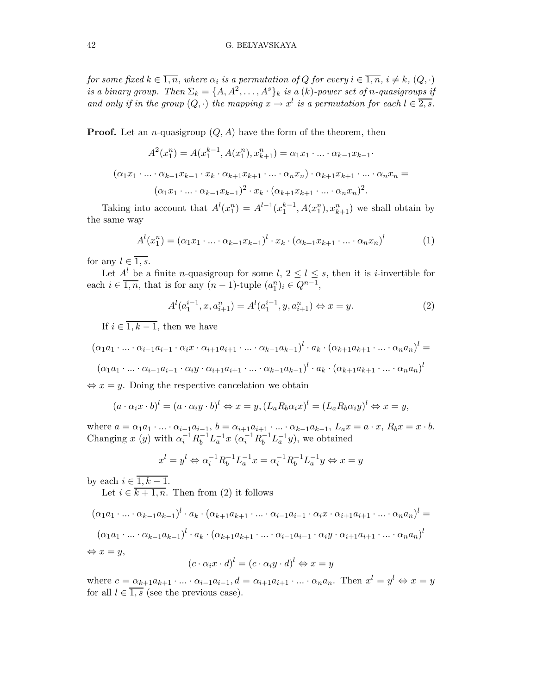for some fixed  $k\in\overline{1,n},$  where  $\alpha_i$  is a permutation of  $Q$  for every  $i\in\overline{1,n},$   $i\neq k,$   $(Q,\cdot)$ is a binary group. Then  $\Sigma_k = \{A, A^2, \ldots, A^s\}_k$  is a  $(k)$ -power set of n-quasigroups if and only if in the group  $(Q, \cdot)$  the mapping  $x \to x^l$  is a permutation for each  $l \in \overline{2, s}$ .

**Proof.** Let an *n*-quasigroup  $(Q, A)$  have the form of the theorem, then

$$
A^{2}(x_{1}^{n}) = A(x_{1}^{k-1}, A(x_{1}^{n}), x_{k+1}^{n}) = \alpha_{1}x_{1} \cdot ... \cdot \alpha_{k-1}x_{k-1}.
$$

$$
(\alpha_{1}x_{1} \cdot ... \cdot \alpha_{k-1}x_{k-1} \cdot x_{k} \cdot \alpha_{k+1}x_{k+1} \cdot ... \cdot \alpha_{n}x_{n}) \cdot \alpha_{k+1}x_{k+1} \cdot ... \cdot \alpha_{n}x_{n} = (\alpha_{1}x_{1} \cdot ... \cdot \alpha_{k-1}x_{k-1})^{2} \cdot x_{k} \cdot (\alpha_{k+1}x_{k+1} \cdot ... \cdot \alpha_{n}x_{n})^{2}.
$$

Taking into account that  $A^l(x_1^n) = A^{l-1}(x_1^{k-1}, A(x_1^n), x_{k+1}^n)$  we shall obtain by the same way

$$
Al(x1n) = (\alpha_1 x_1 \cdot \ldots \cdot \alpha_{k-1} x_{k-1})l \cdot x_k \cdot (\alpha_{k+1} x_{k+1} \cdot \ldots \cdot \alpha_n x_n)l
$$
 (1)

for any  $l \in \overline{1, s}$ .

Let  $A^l$  be a finite *n*-quasigroup for some  $l, 2 \leq l \leq s$ , then it is *i*-invertible for each  $i \in \overline{1,n}$ , that is for any  $(n-1)$ -tuple  $(a_1^n)_i \in \overline{Q^{n-1}}$ ,

$$
A^{l}(a_1^{i-1}, x, a_{i+1}^n) = A^{l}(a_1^{i-1}, y, a_{i+1}^n) \Leftrightarrow x = y.
$$
 (2)

If  $i \in \overline{1, k-1}$ , then we have

$$
(\alpha_1 a_1 \cdot \ldots \cdot \alpha_{i-1} a_{i-1} \cdot \alpha_i x \cdot \alpha_{i+1} a_{i+1} \cdot \ldots \cdot \alpha_{k-1} a_{k-1})^l \cdot a_k \cdot (\alpha_{k+1} a_{k+1} \cdot \ldots \cdot \alpha_n a_n)^l =
$$
  

$$
(\alpha_1 a_1 \cdot \ldots \cdot \alpha_{i-1} a_{i-1} \cdot \alpha_i y \cdot \alpha_{i+1} a_{i+1} \cdot \ldots \cdot \alpha_{k-1} a_{k-1})^l \cdot a_k \cdot (\alpha_{k+1} a_{k+1} \cdot \ldots \cdot \alpha_n a_n)^l
$$

 $\Leftrightarrow$   $x = y$ . Doing the respective cancelation we obtain

$$
(a \cdot \alpha_i x \cdot b)^l = (a \cdot \alpha_i y \cdot b)^l \Leftrightarrow x = y, (L_a R_b \alpha_i x)^l = (L_a R_b \alpha_i y)^l \Leftrightarrow x = y,
$$

where  $a = \alpha_1 a_1 \cdot ... \cdot \alpha_{i-1} a_{i-1}, b = \alpha_{i+1} a_{i+1} \cdot ... \cdot \alpha_{k-1} a_{k-1}, L_a x = a \cdot x, R_b x = x \cdot b.$ Changing x (y) with  $\alpha_i^{-1} R_b^{-1} L_a^{-1} x$  ( $\alpha_i^{-1} R_b^{-1} L_a^{-1} y$ ), we obtained

$$
x^{l} = y^{l} \Leftrightarrow \alpha_{i}^{-1} R_{b}^{-1} L_{a}^{-1} x = \alpha_{i}^{-1} R_{b}^{-1} L_{a}^{-1} y \Leftrightarrow x = y
$$

by each  $i \in \overline{1, k-1}$ .

Let  $i \in \overline{k+1,n}$ . Then from (2) it follows

$$
(\alpha_1 a_1 \cdot \ldots \cdot \alpha_{k-1} a_{k-1})^l \cdot a_k \cdot (\alpha_{k+1} a_{k+1} \cdot \ldots \cdot \alpha_{i-1} a_{i-1} \cdot \alpha_i x \cdot \alpha_{i+1} a_{i+1} \cdot \ldots \cdot \alpha_n a_n)^l =
$$
  

$$
(\alpha_1 a_1 \cdot \ldots \cdot \alpha_{k-1} a_{k-1})^l \cdot a_k \cdot (\alpha_{k+1} a_{k+1} \cdot \ldots \cdot \alpha_{i-1} a_{i-1} \cdot \alpha_i y \cdot \alpha_{i+1} a_{i+1} \cdot \ldots \cdot \alpha_n a_n)^l
$$
  

$$
\Leftrightarrow x = y,
$$

$$
(c \cdot \alpha_i x \cdot d)^l = (c \cdot \alpha_i y \cdot d)^l \Leftrightarrow x = y
$$

where  $c = \alpha_{k+1}a_{k+1} \cdot ... \cdot \alpha_{i-1}a_{i-1}, d = \alpha_{i+1}a_{i+1} \cdot ... \cdot \alpha_n a_n$ . Then  $x^l = y^l \Leftrightarrow x = y$ for all  $l \in \overline{1,s}$  (see the previous case).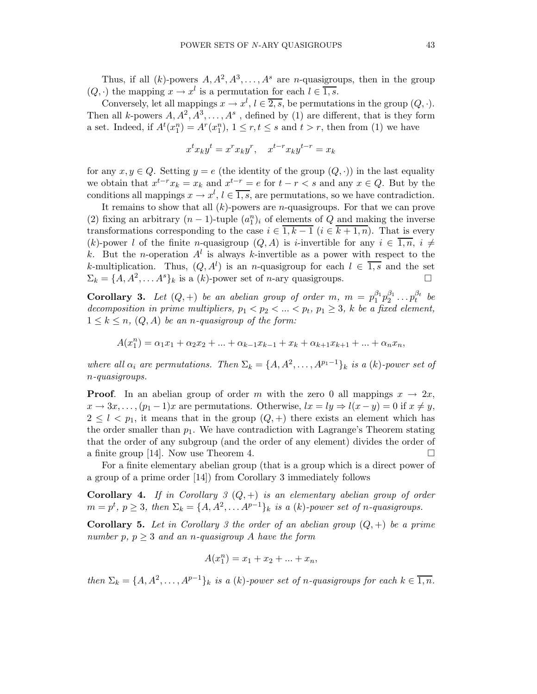Thus, if all  $(k)$ -powers  $A, A^2, A^3, \ldots, A^s$  are *n*-quasigroups, then in the group  $(Q, \cdot)$  the mapping  $x \to x^l$  is a permutation for each  $l \in \overline{1, s}$ .

Conversely, let all mappings  $x \to x^l$ ,  $l \in \overline{2, s}$ , be permutations in the group  $(Q, \cdot)$ . Then all k-powers  $A, A^2, A^3, \ldots, A^s$ , defined by (1) are different, that is they form a set. Indeed, if  $A^t(x_1^n) = A^r(x_1^n)$ ,  $1 \le r, t \le s$  and  $t > r$ , then from (1) we have

$$
x^t x_k y^t = x^r x_k y^r, \quad x^{t-r} x_k y^{t-r} = x_k
$$

for any  $x, y \in Q$ . Setting  $y = e$  (the identity of the group  $(Q, \cdot)$ ) in the last equality we obtain that  $x^{t-r}x_k = x_k$  and  $x^{t-r} = e$  for  $t - r < s$  and any  $x \in Q$ . But by the conditions all mappings  $x \to x^l$ ,  $l \in \overline{1, s}$ , are permutations, so we have contradiction.

It remains to show that all  $(k)$ -powers are *n*-quasigroups. For that we can prove (2) fixing an arbitrary  $(n-1)$ -tuple  $(a_1^n)_i$  of elements of Q and making the inverse transformations corresponding to the case  $i \in \overline{1, k-1}$   $(i \in \overline{k+1, n})$ . That is every (k)-power l of the finite n-quasigroup  $(Q, A)$  is i-invertible for any  $i \in \overline{1, n}, i \neq j$ k. But the *n*-operation  $A^l$  is always k-invertible as a power with respect to the k-multiplication. Thus,  $(Q, A^l)$  is an n-quasigroup for each  $l \in \overline{1,s}$  and the set  $\Sigma_k = \{A, A^2, \dots A^s\}_k$  is a  $(k)$ -power set of *n*-ary quasigroups.

**Corollary 3.** Let  $(Q,+)$  be an abelian group of order m,  $m = p_1^{\beta_1}p_2^{\beta_1} \ldots p_t^{\beta_t}$  $t^{pt}$  be decomposition in prime multipliers,  $p_1 < p_2 < ... < p_t$ ,  $p_1 \geq 3$ , k be a fixed element,  $1 \leq k \leq n$ ,  $(Q, A)$  be an *n*-quasigroup of the form:

$$
A(x_1^n) = \alpha_1 x_1 + \alpha_2 x_2 + \dots + \alpha_{k-1} x_{k-1} + x_k + \alpha_{k+1} x_{k+1} + \dots + \alpha_n x_n,
$$

where all  $\alpha_i$  are permutations. Then  $\Sigma_k = \{A, A^2, \ldots, A^{p_1-1}\}_k$  is a  $(k)$ -power set of n-quasigroups.

**Proof.** In an abelian group of order m with the zero 0 all mappings  $x \to 2x$ ,  $x \to 3x, \ldots, (p_1 - 1)x$  are permutations. Otherwise,  $lx = ly \Rightarrow l(x - y) = 0$  if  $x \neq y$ ,  $2 \leq l \leq p_1$ , it means that in the group  $(Q, +)$  there exists an element which has the order smaller than  $p_1$ . We have contradiction with Lagrange's Theorem stating that the order of any subgroup (and the order of any element) divides the order of a finite group [14]. Now use Theorem 4.  $\Box$ 

For a finite elementary abelian group (that is a group which is a direct power of a group of a prime order [14]) from Corollary 3 immediately follows

**Corollary 4.** If in Corollary 3  $(Q,+)$  is an elementary abelian group of order  $m = p^t, p \geq 3$ , then  $\Sigma_k = \{A, A^2, \ldots A^{p-1}\}_k$  is a  $(k)$ -power set of n-quasigroups.

**Corollary 5.** Let in Corollary 3 the order of an abelian group  $(Q,+)$  be a prime number p,  $p \geq 3$  and an n-quasigroup A have the form

$$
A(x_1^n) = x_1 + x_2 + \dots + x_n,
$$

then  $\Sigma_k = \{A, A^2, \ldots, A^{p-1}\}_k$  is a  $(k)$ -power set of n-quasigroups for each  $k \in \overline{1,n}$ .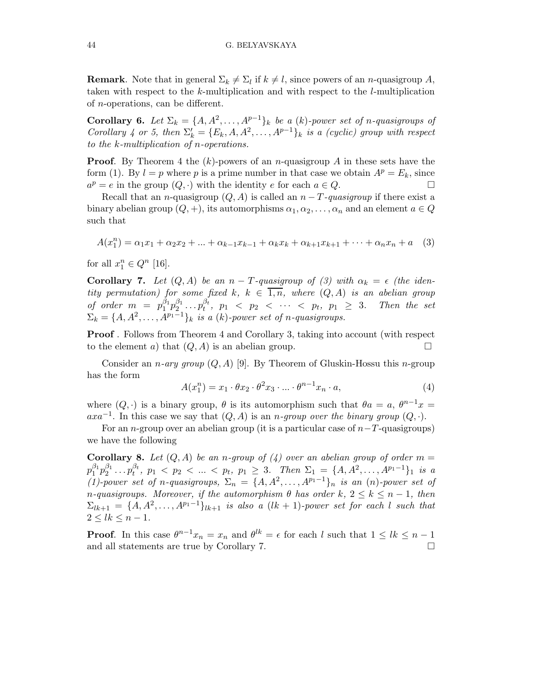**Remark**. Note that in general  $\Sigma_k \neq \Sigma_l$  if  $k \neq l$ , since powers of an *n*-quasigroup A, taken with respect to the k-multiplication and with respect to the l-multiplication of n-operations, can be different.

**Corollary 6.** Let  $\Sigma_k = \{A, A^2, \ldots, A^{p-1}\}_k$  be a (k)-power set of n-quasigroups of Corollary 4 or 5, then  $\Sigma'_k = \{E_k, A, A^2, \ldots, A^{p-1}\}_k$  is a (cyclic) group with respect to the k-multiplication of n-operations.

**Proof.** By Theorem 4 the  $(k)$ -powers of an *n*-quasigroup A in these sets have the form (1). By  $l = p$  where p is a prime number in that case we obtain  $A^p = E_k$ , since  $a^p = e$  in the group  $(Q, \cdot)$  with the identity e for each  $a \in Q$ .

Recall that an *n*-quasigroup  $(Q, A)$  is called an  $n - T$ -quasigroup if there exist a binary abelian group  $(Q, +)$ , its automorphisms  $\alpha_1, \alpha_2, \ldots, \alpha_n$  and an element  $a \in Q$ such that

$$
A(x_1^n) = \alpha_1 x_1 + \alpha_2 x_2 + \dots + \alpha_{k-1} x_{k-1} + \alpha_k x_k + \alpha_{k+1} x_{k+1} + \dots + \alpha_n x_n + a \quad (3)
$$

for all  $x_1^n \in Q^n$  [16].

**Corollary 7.** Let  $(Q, A)$  be an  $n - T$ -quasigroup of (3) with  $\alpha_k = \epsilon$  (the identity permutation) for some fixed k,  $k \in \overline{1,n}$ , where  $(Q, A)$  is an abelian group of order  $m = p_1^{\beta_1} p_2^{\beta_1} \dots p_t^{\beta_t}$  $t^{p_t}, p_1 < p_2 < \cdots < p_t, p_1 \geq 3$ . Then the set  $\Sigma_k = \{A, A^2, \ldots, A^{p_1-1}\}_k$  is a  $(k)$ -power set of n-quasigroups.

Proof . Follows from Theorem 4 and Corollary 3, taking into account (with respect to the element a) that  $(Q, A)$  is an abelian group.

Consider an *n*-ary group  $(Q, A)$  [9]. By Theorem of Gluskin-Hossu this *n*-group has the form

$$
A(x_1^n) = x_1 \cdot \theta x_2 \cdot \theta^2 x_3 \cdot \dots \cdot \theta^{n-1} x_n \cdot a,\tag{4}
$$

where  $(Q, \cdot)$  is a binary group,  $\theta$  is its automorphism such that  $\theta a = a, \theta^{n-1}x =$  $axa^{-1}$ . In this case we say that  $(Q, A)$  is an *n*-group over the binary group  $(Q, \cdot)$ .

For an n-group over an abelian group (it is a particular case of  $n-T$ -quasigroups) we have the following

**Corollary 8.** Let  $(Q, A)$  be an n-group of  $(4)$  over an abelian group of order  $m =$  $p_1^{\beta_1}p_2^{\beta_1}\ldots p_t^{\beta_t}$  $\beta_t^{\beta_t}$ ,  $p_1 < p_2 < ... < p_t$ ,  $p_1 \geq 3$ . Then  $\Sigma_1 = \{A, A^2, ..., A^{p_1-1}\}_1$  is a (1)-power set of n-quasigroups,  $\Sigma_n = \{A, A^2, \ldots, A^{p_1-1}\}_n$  is an  $(n)$ -power set of n-quasigroups. Moreover, if the automorphism  $\theta$  has order  $k, 2 \leq k \leq n-1$ , then  $\Sigma_{lk+1} = \{A, A^2, \ldots, A^{p_1-1}\}_{lk+1}$  is also a  $(lk+1)$ -power set for each l such that  $2 < lk < n - 1$ .

**Proof.** In this case  $\theta^{n-1}x_n = x_n$  and  $\theta^{lk} = \epsilon$  for each l such that  $1 \leq lk \leq n-1$ and all statements are true by Corollary 7.